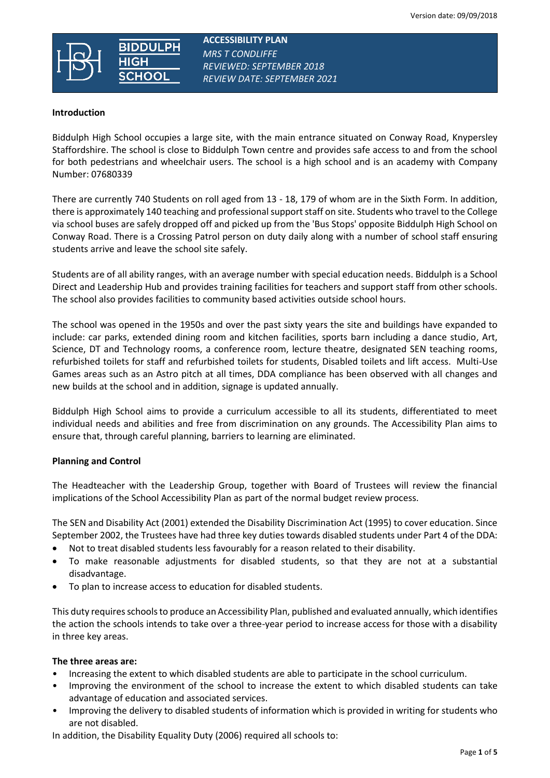

 **ACCESSIBILITY PLAN**  *MRS T CONDLIFFE REVIEWED: SEPTEMBER 2018 REVIEW DATE: SEPTEMBER 2021*

#### **Introduction**

Biddulph High School occupies a large site, with the main entrance situated on Conway Road, Knypersley Staffordshire. The school is close to Biddulph Town centre and provides safe access to and from the school for both pedestrians and wheelchair users. The school is a high school and is an academy with Company Number: 07680339

There are currently 740 Students on roll aged from 13 - 18, 179 of whom are in the Sixth Form. In addition, there is approximately 140 teaching and professional support staff on site. Students who travel to the College via school buses are safely dropped off and picked up from the 'Bus Stops' opposite Biddulph High School on Conway Road. There is a Crossing Patrol person on duty daily along with a number of school staff ensuring students arrive and leave the school site safely.

Students are of all ability ranges, with an average number with special education needs. Biddulph is a School Direct and Leadership Hub and provides training facilities for teachers and support staff from other schools. The school also provides facilities to community based activities outside school hours.

The school was opened in the 1950s and over the past sixty years the site and buildings have expanded to include: car parks, extended dining room and kitchen facilities, sports barn including a dance studio, Art, Science, DT and Technology rooms, a conference room, lecture theatre, designated SEN teaching rooms, refurbished toilets for staff and refurbished toilets for students, Disabled toilets and lift access. Multi-Use Games areas such as an Astro pitch at all times, DDA compliance has been observed with all changes and new builds at the school and in addition, signage is updated annually.

Biddulph High School aims to provide a curriculum accessible to all its students, differentiated to meet individual needs and abilities and free from discrimination on any grounds. The Accessibility Plan aims to ensure that, through careful planning, barriers to learning are eliminated.

## **Planning and Control**

The Headteacher with the Leadership Group, together with Board of Trustees will review the financial implications of the School Accessibility Plan as part of the normal budget review process.

The SEN and Disability Act (2001) extended the Disability Discrimination Act (1995) to cover education. Since September 2002, the Trustees have had three key duties towards disabled students under Part 4 of the DDA:

- Not to treat disabled students less favourably for a reason related to their disability.
- To make reasonable adjustments for disabled students, so that they are not at a substantial disadvantage.
- To plan to increase access to education for disabled students.

This duty requires schools to produce an Accessibility Plan, published and evaluated annually, which identifies the action the schools intends to take over a three-year period to increase access for those with a disability in three key areas.

#### **The three areas are:**

- Increasing the extent to which disabled students are able to participate in the school curriculum.
- Improving the environment of the school to increase the extent to which disabled students can take advantage of education and associated services.
- Improving the delivery to disabled students of information which is provided in writing for students who are not disabled.

In addition, the Disability Equality Duty (2006) required all schools to: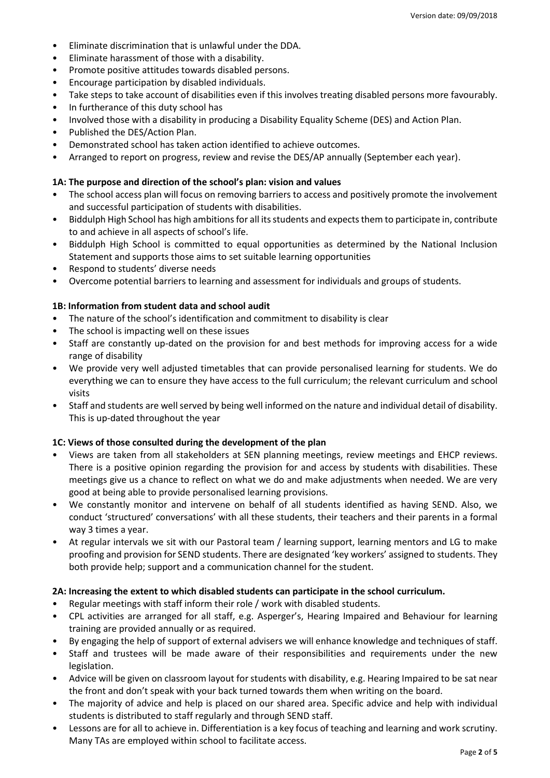- Eliminate discrimination that is unlawful under the DDA.
- Eliminate harassment of those with a disability.
- Promote positive attitudes towards disabled persons.
- Encourage participation by disabled individuals.
- Take steps to take account of disabilities even if this involves treating disabled persons more favourably.
- In furtherance of this duty school has
- Involved those with a disability in producing a Disability Equality Scheme (DES) and Action Plan.
- Published the DES/Action Plan.
- Demonstrated school has taken action identified to achieve outcomes.
- Arranged to report on progress, review and revise the DES/AP annually (September each year).

## **1A: The purpose and direction of the school's plan: vision and values**

- The school access plan will focus on removing barriers to access and positively promote the involvement and successful participation of students with disabilities.
- Biddulph High School has high ambitions for all its students and expects them to participate in, contribute to and achieve in all aspects of school's life.
- Biddulph High School is committed to equal opportunities as determined by the National Inclusion Statement and supports those aims to set suitable learning opportunities
- Respond to students' diverse needs
- Overcome potential barriers to learning and assessment for individuals and groups of students.

## **1B: Information from student data and school audit**

- The nature of the school's identification and commitment to disability is clear
- The school is impacting well on these issues
- Staff are constantly up-dated on the provision for and best methods for improving access for a wide range of disability
- We provide very well adjusted timetables that can provide personalised learning for students. We do everything we can to ensure they have access to the full curriculum; the relevant curriculum and school visits
- Staff and students are well served by being well informed on the nature and individual detail of disability. This is up-dated throughout the year

## **1C: Views of those consulted during the development of the plan**

- Views are taken from all stakeholders at SEN planning meetings, review meetings and EHCP reviews. There is a positive opinion regarding the provision for and access by students with disabilities. These meetings give us a chance to reflect on what we do and make adjustments when needed. We are very good at being able to provide personalised learning provisions.
- We constantly monitor and intervene on behalf of all students identified as having SEND. Also, we conduct 'structured' conversations' with all these students, their teachers and their parents in a formal way 3 times a year.
- At regular intervals we sit with our Pastoral team / learning support, learning mentors and LG to make proofing and provision for SEND students. There are designated 'key workers' assigned to students. They both provide help; support and a communication channel for the student.

## **2A: Increasing the extent to which disabled students can participate in the school curriculum.**

- Regular meetings with staff inform their role / work with disabled students.
- CPL activities are arranged for all staff, e.g. Asperger's, Hearing Impaired and Behaviour for learning training are provided annually or as required.
- By engaging the help of support of external advisers we will enhance knowledge and techniques of staff.
- Staff and trustees will be made aware of their responsibilities and requirements under the new legislation.
- Advice will be given on classroom layout for students with disability, e.g. Hearing Impaired to be sat near the front and don't speak with your back turned towards them when writing on the board.
- The majority of advice and help is placed on our shared area. Specific advice and help with individual students is distributed to staff regularly and through SEND staff.
- Lessons are for all to achieve in. Differentiation is a key focus of teaching and learning and work scrutiny. Many TAs are employed within school to facilitate access.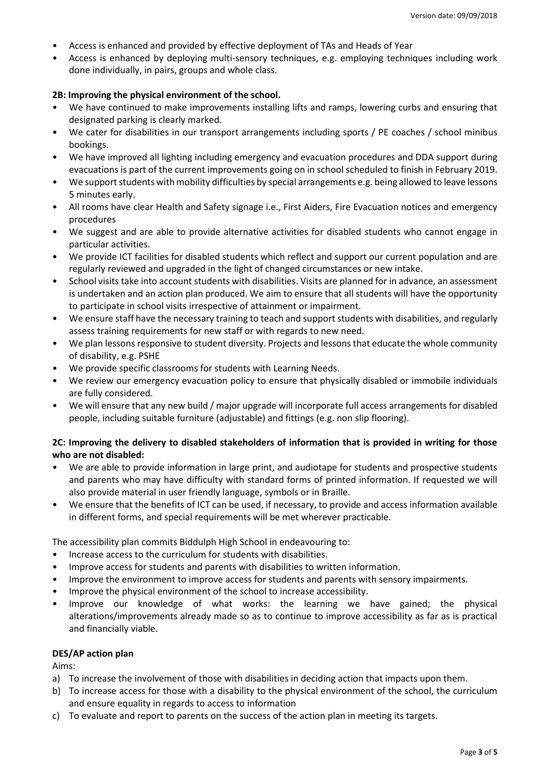- Access is enhanced and provided by effective deployment of TAs and Heads of Year
- Access is enhanced by deploying multi-sensory techniques, e.g. employing techniques including work done individually, in pairs, groups and whole class.

#### **2B: Improving the physical environment of the school.**

- We have continued to make improvements installing lifts and ramps, lowering curbs and ensuring that designated parking is clearly marked.
- We cater for disabilities in our transport arrangements including sports / PE coaches / school minibus bookings.
- We have improved all lighting including emergency and evacuation procedures and DDA support during evacuations is part of the current improvements going on in school scheduled to finish in February 2019.
- We support students with mobility difficulties by special arrangements e.g. being allowed to leave lessons 5 minutes early.
- All rooms have clear Health and Safety signage i.e., First Aiders, Fire Evacuation notices and emergency procedures
- We suggest and are able to provide alternative activities for disabled students who cannot engage in particular activities.
- We provide ICT facilities for disabled students which reflect and support our current population and are regularly reviewed and upgraded in the light of changed circumstances or new intake.
- School visits take into account students with disabilities. Visits are planned for in advance, an assessment is undertaken and an action plan produced. We aim to ensure that all students will have the opportunity to participate in school visits irrespective of attainment or impairment.
- We ensure staff have the necessary training to teach and support students with disabilities, and regularly assess training requirements for new staff or with regards to new need.
- We plan lessons responsive to student diversity. Projects and lessons that educate the whole community of disability, e.g. PSHE
- We provide specific classrooms for students with Learning Needs.
- We review our emergency evacuation policy to ensure that physically disabled or immobile individuals are fully considered.
- We will ensure that any new build / major upgrade will incorporate full access arrangements for disabled people, including suitable furniture (adjustable) and fittings (e.g. non slip flooring).

## **2C: Improving the delivery to disabled stakeholders of information that is provided in writing for those who are not disabled:**

- We are able to provide information in large print, and audiotape for students and prospective students and parents who may have difficulty with standard forms of printed information. If requested we will also provide material in user friendly language, symbols or in Braille.
- We ensure that the benefits of ICT can be used, if necessary, to provide and access information available in different forms, and special requirements will be met wherever practicable.

The accessibility plan commits Biddulph High School in endeavouring to:

- Increase access to the curriculum for students with disabilities.
- Improve access for students and parents with disabilities to written information.
- Improve the environment to improve access for students and parents with sensory impairments.
- Improve the physical environment of the school to increase accessibility.
- Improve our knowledge of what works: the learning we have gained; the physical alterations/improvements already made so as to continue to improve accessibility as far as is practical and financially viable.

#### **DES/AP action plan**

Aims:

- a) To increase the involvement of those with disabilities in deciding action that impacts upon them.
- b) To increase access for those with a disability to the physical environment of the school, the curriculum and ensure equality in regards to access to information
- c) To evaluate and report to parents on the success of the action plan in meeting its targets.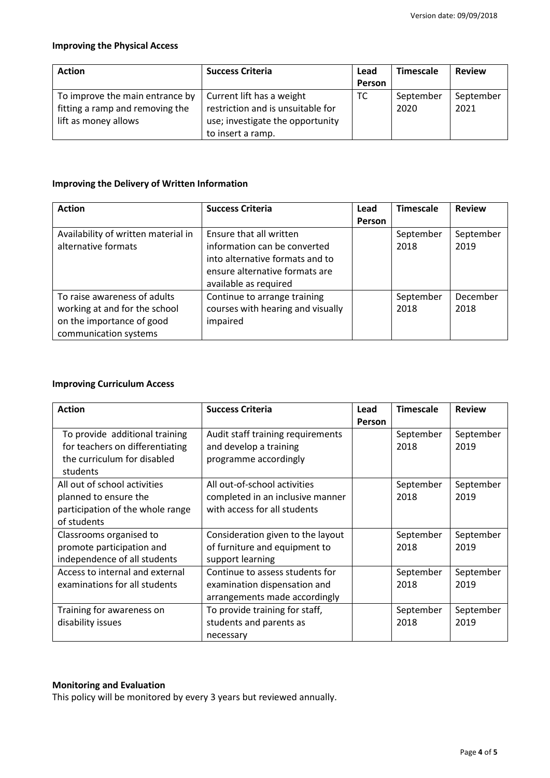## **Improving the Physical Access**

| <b>Action</b>                   | <b>Success Criteria</b>           | Lead   | <b>Timescale</b> | <b>Review</b> |
|---------------------------------|-----------------------------------|--------|------------------|---------------|
|                                 |                                   | Person |                  |               |
| To improve the main entrance by | Current lift has a weight         | ТC     | September        | September     |
| fitting a ramp and removing the | restriction and is unsuitable for |        | 2020             | 2021          |
| lift as money allows            | use; investigate the opportunity  |        |                  |               |
|                                 | to insert a ramp.                 |        |                  |               |

# **Improving the Delivery of Written Information**

| <b>Action</b>                       | <b>Success Criteria</b>           | Lead          | <b>Timescale</b> | <b>Review</b> |
|-------------------------------------|-----------------------------------|---------------|------------------|---------------|
|                                     |                                   | <b>Person</b> |                  |               |
| Availability of written material in | Ensure that all written           |               | September        | September     |
| alternative formats                 | information can be converted      |               | 2018             | 2019          |
|                                     | into alternative formats and to   |               |                  |               |
|                                     | ensure alternative formats are    |               |                  |               |
|                                     | available as required             |               |                  |               |
| To raise awareness of adults        | Continue to arrange training      |               | September        | December      |
| working at and for the school       | courses with hearing and visually |               | 2018             | 2018          |
| on the importance of good           | impaired                          |               |                  |               |
| communication systems               |                                   |               |                  |               |

## **Improving Curriculum Access**

| <b>Action</b>                                                                                                | <b>Success Criteria</b>                                                                          | Lead<br>Person | <b>Timescale</b>  | <b>Review</b>     |
|--------------------------------------------------------------------------------------------------------------|--------------------------------------------------------------------------------------------------|----------------|-------------------|-------------------|
| To provide additional training<br>for teachers on differentiating<br>the curriculum for disabled<br>students | Audit staff training requirements<br>and develop a training<br>programme accordingly             |                | September<br>2018 | September<br>2019 |
| All out of school activities<br>planned to ensure the<br>participation of the whole range<br>of students     | All out-of-school activities<br>completed in an inclusive manner<br>with access for all students |                | September<br>2018 | September<br>2019 |
| Classrooms organised to<br>promote participation and<br>independence of all students                         | Consideration given to the layout<br>of furniture and equipment to<br>support learning           |                | September<br>2018 | September<br>2019 |
| Access to internal and external<br>examinations for all students                                             | Continue to assess students for<br>examination dispensation and<br>arrangements made accordingly |                | September<br>2018 | September<br>2019 |
| Training for awareness on<br>disability issues                                                               | To provide training for staff,<br>students and parents as<br>necessary                           |                | September<br>2018 | September<br>2019 |

## **Monitoring and Evaluation**

This policy will be monitored by every 3 years but reviewed annually.